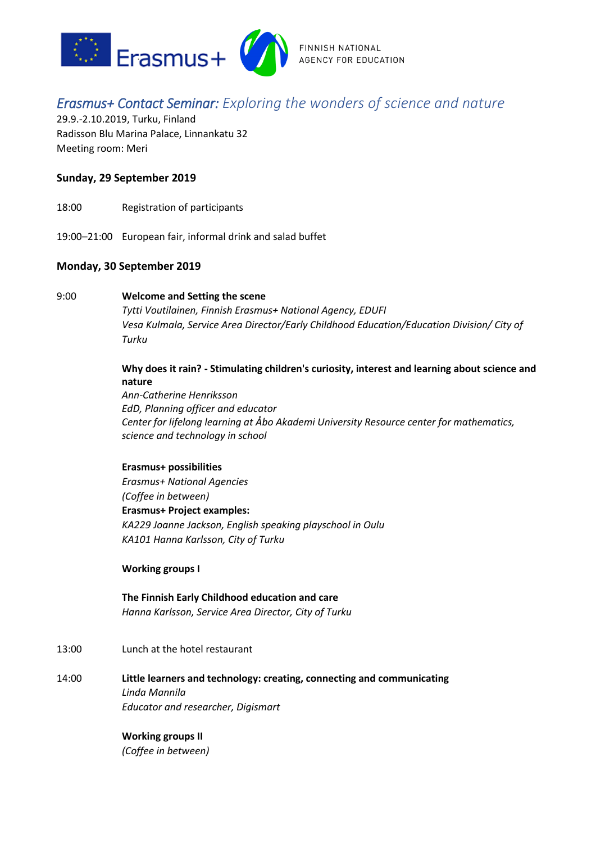

# FINNISH NATIONAL **AGENCY FOR EDUCATION**

# *Erasmus+ Contact Seminar: Exploring the wonders of science and nature*

29.9.-2.10.2019, Turku, Finland Radisson Blu Marina Palace, Linnankatu 32 Meeting room: Meri

# **Sunday, 29 September 2019**

- 18:00 Registration of participants
- 19:00–21:00 European fair, informal drink and salad buffet

# **Monday, 30 September 2019**

## 9:00 **Welcome and Setting the scene**

*Tytti Voutilainen, Finnish Erasmus+ National Agency, EDUFI Vesa Kulmala, Service Area Director/Early Childhood Education/Education Division/ City of Turku*

# **Why does it rain? - Stimulating children's curiosity, interest and learning about science and nature**

*Ann-Catherine Henriksson EdD, Planning officer and educator Center for lifelong learning at Åbo Akademi University Resource center for mathematics, science and technology in school*

## **Erasmus+ possibilities**

*Erasmus+ National Agencies (Coffee in between)* **Erasmus+ Project examples:** *KA229 Joanne Jackson, English speaking playschool in Oulu KA101 Hanna Karlsson, City of Turku*

## **Working groups I**

- **The Finnish Early Childhood education and care** *Hanna Karlsson, Service Area Director, City of Turku*
- 13:00 Lunch at the hotel restaurant
- 14:00 **Little learners and technology: creating, connecting and communicating** *Linda Mannila Educator and researcher, Digismart*

## **Working groups II**

*(Coffee in between)*